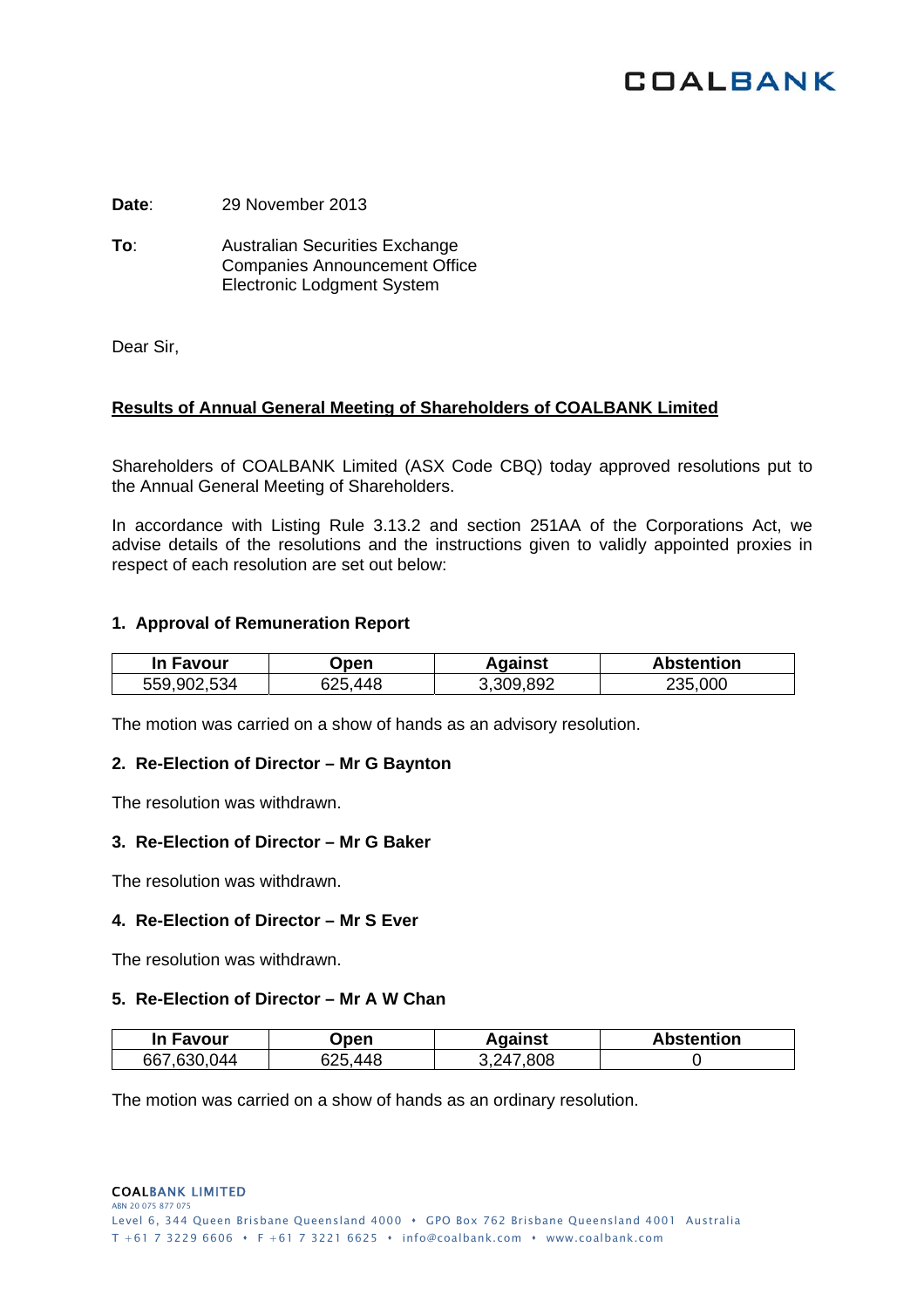# **COALBANK**

**Date**: 29 November 2013

**To**: Australian Securities Exchange Companies Announcement Office Electronic Lodgment System

Dear Sir,

## **Results of Annual General Meeting of Shareholders of COALBANK Limited**

Shareholders of COALBANK Limited (ASX Code CBQ) today approved resolutions put to the Annual General Meeting of Shareholders.

In accordance with Listing Rule 3.13.2 and section 251AA of the Corporations Act, we advise details of the resolutions and the instructions given to validly appointed proxies in respect of each resolution are set out below:

### **1. Approval of Remuneration Report**

| In Favour   | Jpen    | Against   | <b>Abstention</b> |
|-------------|---------|-----------|-------------------|
| 559,902,534 | 625,448 | 3,309,892 | 235,000           |

The motion was carried on a show of hands as an advisory resolution.

#### **2. Re-Election of Director – Mr G Baynton**

The resolution was withdrawn.

#### **3. Re-Election of Director – Mr G Baker**

The resolution was withdrawn.

#### **4. Re-Election of Director – Mr S Ever**

The resolution was withdrawn.

#### **5. Re-Election of Director – Mr A W Chan**

| <b>In Favour</b> | )pen       | Against               | <b>Abstention</b> |
|------------------|------------|-----------------------|-------------------|
| 667,630,044      | 448<br>いつに | 808.<br>$\lambda$ 247 |                   |

The motion was carried on a show of hands as an ordinary resolution.